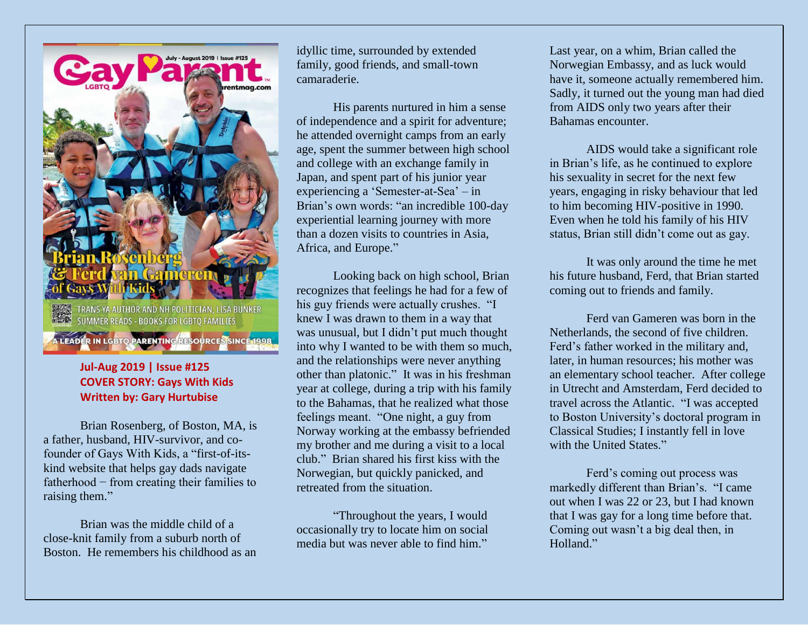ntmaa.co

-TRANS YA AUTHOR AND NH POLITICIAN, LISA BUNKER<br>-SUMMER READS - BOOKS FOR LGBTQ FAMILIES

LEADER IN LGBTO PARENTING RESOURCES SINCE 1998

## **Jul-Aug 2019 | Issue #125 COVER STORY: Gays With Kids Written by: Gary Hurtubise**

Brian Rosenberg, of Boston, MA, is a father, husband, HIV-survivor, and cofounder of Gays With Kids, a "first-of-itskind website that helps gay dads navigate fatherhood − from creating their families to raising them."

Brian was the middle child of a close-knit family from a suburb north of Boston. He remembers his childhood as an idyllic time, surrounded by extended family, good friends, and small-town camaraderie.

His parents nurtured in him a sense of independence and a spirit for adventure; he attended overnight camps from an early age, spent the summer between high school and college with an exchange family in Japan, and spent part of his junior year experiencing a 'Semester-at-Sea' – in Brian's own words: "an incredible 100-day experiential learning journey with more than a dozen visits to countries in Asia, Africa, and Europe."

Looking back on high school, Brian recognizes that feelings he had for a few of his guy friends were actually crushes. "I knew I was drawn to them in a way that was unusual, but I didn't put much thought into why I wanted to be with them so much, and the relationships were never anything other than platonic." It was in his freshman year at college, during a trip with his family to the Bahamas, that he realized what those feelings meant. "One night, a guy from Norway working at the embassy befriended my brother and me during a visit to a local club." Brian shared his first kiss with the Norwegian, but quickly panicked, and retreated from the situation.

"Throughout the years, I would occasionally try to locate him on social media but was never able to find him."

Last year, on a whim, Brian called the Norwegian Embassy, and as luck would have it, someone actually remembered him. Sadly, it turned out the young man had died from AIDS only two years after their Bahamas encounter.

AIDS would take a significant role in Brian's life, as he continued to explore his sexuality in secret for the next few years, engaging in risky behaviour that led to him becoming HIV-positive in 1990. Even when he told his family of his HIV status, Brian still didn't come out as gay.

It was only around the time he met his future husband, Ferd, that Brian started coming out to friends and family.

Ferd van Gameren was born in the Netherlands, the second of five children. Ferd's father worked in the military and, later, in human resources; his mother was an elementary school teacher. After college in Utrecht and Amsterdam, Ferd decided to travel across the Atlantic. "I was accepted to Boston University's doctoral program in Classical Studies; I instantly fell in love with the United States."

Ferd's coming out process was markedly different than Brian's. "I came out when I was 22 or 23, but I had known that I was gay for a long time before that. Coming out wasn't a big deal then, in Holland."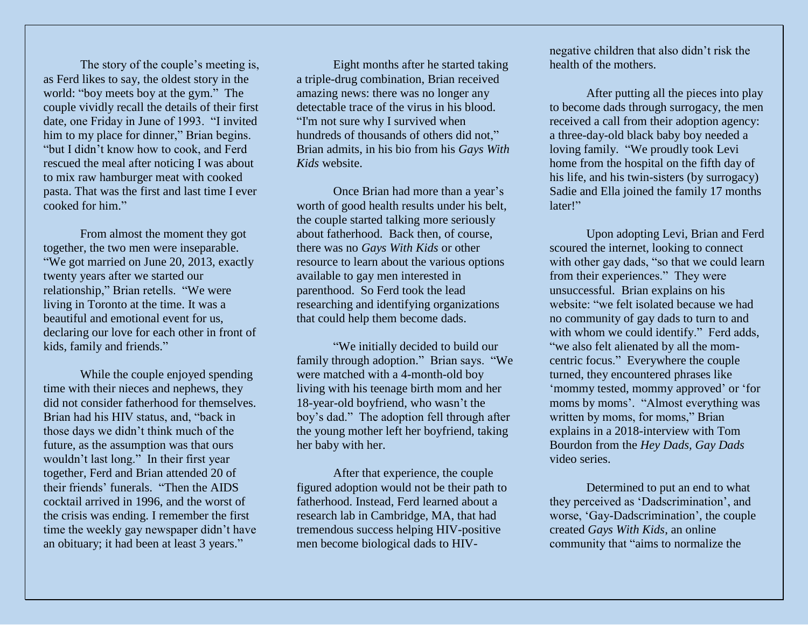The story of the couple's meeting is, as Ferd likes to say, the oldest story in the world: "boy meets boy at the gym." The couple vividly recall the details of their first date, one Friday in June of 1993. "I invited him to my place for dinner," Brian begins. "but I didn't know how to cook, and Ferd rescued the meal after noticing I was about to mix raw hamburger meat with cooked pasta. That was the first and last time I ever cooked for him."

From almost the moment they got together, the two men were inseparable. "We got married on June 20, 2013, exactly twenty years after we started our relationship," Brian retells. "We were living in Toronto at the time. It was a beautiful and emotional event for us, declaring our love for each other in front of kids, family and friends."

While the couple enjoyed spending time with their nieces and nephews, they did not consider fatherhood for themselves. Brian had his HIV status, and, "back in those days we didn't think much of the future, as the assumption was that ours wouldn't last long." In their first year together, Ferd and Brian attended 20 of their friends' funerals. "Then the AIDS cocktail arrived in 1996, and the worst of the crisis was ending. I remember the first time the weekly gay newspaper didn't have an obituary; it had been at least 3 years."

Eight months after he started taking a triple-drug combination, Brian received amazing news: there was no longer any detectable trace of the virus in his blood. "I'm not sure why I survived when hundreds of thousands of others did not," Brian admits, in his bio from his *Gays With Kids* website.

Once Brian had more than a year's worth of good health results under his belt, the couple started talking more seriously about fatherhood. Back then, of course, there was no *Gays With Kids* or other resource to learn about the various options available to gay men interested in parenthood. So Ferd took the lead researching and identifying organizations that could help them become dads.

"We initially decided to build our family through adoption." Brian says. "We were matched with a 4-month-old boy living with his teenage birth mom and her 18-year-old boyfriend, who wasn't the boy's dad." The adoption fell through after the young mother left her boyfriend, taking her baby with her.

After that experience, the couple figured adoption would not be their path to fatherhood. Instead, Ferd learned about a research lab in Cambridge, MA, that had tremendous success helping HIV-positive men become biological dads to HIV-

negative children that also didn't risk the health of the mothers.

After putting all the pieces into play to become dads through surrogacy, the men received a call from their adoption agency: a three-day-old black baby boy needed a loving family. "We proudly took Levi home from the hospital on the fifth day of his life, and his twin-sisters (by surrogacy) Sadie and Ella joined the family 17 months later!"

Upon adopting Levi, Brian and Ferd scoured the internet, looking to connect with other gay dads, "so that we could learn from their experiences." They were unsuccessful. Brian explains on his website: "we felt isolated because we had no community of gay dads to turn to and with whom we could identify." Ferd adds, "we also felt alienated by all the momcentric focus." Everywhere the couple turned, they encountered phrases like 'mommy tested, mommy approved' or 'for moms by moms'. "Almost everything was written by moms, for moms," Brian explains in a 2018-interview with Tom Bourdon from the *Hey Dads, Gay Dads* video series.

Determined to put an end to what they perceived as 'Dadscrimination', and worse, 'Gay-Dadscrimination', the couple created *Gays With Kids*, an online community that "aims to normalize the